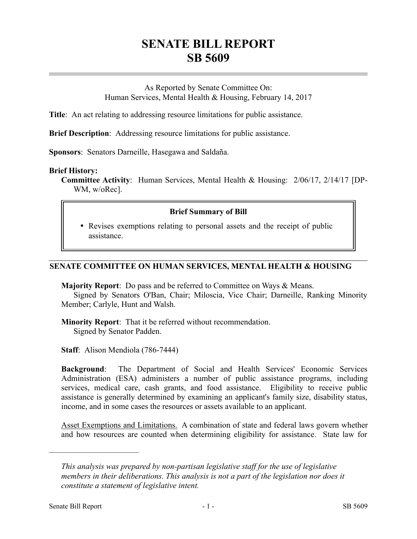# **SENATE BILL REPORT SB 5609**

As Reported by Senate Committee On: Human Services, Mental Health & Housing, February 14, 2017

**Title**: An act relating to addressing resource limitations for public assistance.

**Brief Description**: Addressing resource limitations for public assistance.

**Sponsors**: Senators Darneille, Hasegawa and Saldaña.

### **Brief History:**

**Committee Activity**: Human Services, Mental Health & Housing: 2/06/17, 2/14/17 [DP-WM, w/oRec].

# **Brief Summary of Bill**

 Revises exemptions relating to personal assets and the receipt of public assistance.

# **SENATE COMMITTEE ON HUMAN SERVICES, MENTAL HEALTH & HOUSING**

**Majority Report**: Do pass and be referred to Committee on Ways & Means.

Signed by Senators O'Ban, Chair; Miloscia, Vice Chair; Darneille, Ranking Minority Member; Carlyle, Hunt and Walsh.

**Minority Report**: That it be referred without recommendation. Signed by Senator Padden.

**Staff**: Alison Mendiola (786-7444)

**Background**: The Department of Social and Health Services' Economic Services Administration (ESA) administers a number of public assistance programs, including services, medical care, cash grants, and food assistance. Eligibility to receive public assistance is generally determined by examining an applicant's family size, disability status, income, and in some cases the resources or assets available to an applicant.

Asset Exemptions and Limitations. A combination of state and federal laws govern whether and how resources are counted when determining eligibility for assistance. State law for

––––––––––––––––––––––

*This analysis was prepared by non-partisan legislative staff for the use of legislative members in their deliberations. This analysis is not a part of the legislation nor does it constitute a statement of legislative intent.*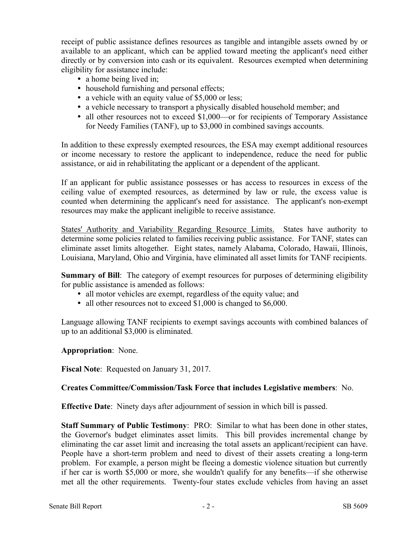receipt of public assistance defines resources as tangible and intangible assets owned by or available to an applicant, which can be applied toward meeting the applicant's need either directly or by conversion into cash or its equivalent. Resources exempted when determining eligibility for assistance include:

- a home being lived in;
- household furnishing and personal effects;
- a vehicle with an equity value of \$5,000 or less;
- a vehicle necessary to transport a physically disabled household member; and
- all other resources not to exceed \$1,000—or for recipients of Temporary Assistance for Needy Families (TANF), up to \$3,000 in combined savings accounts.

In addition to these expressly exempted resources, the ESA may exempt additional resources or income necessary to restore the applicant to independence, reduce the need for public assistance, or aid in rehabilitating the applicant or a dependent of the applicant.

If an applicant for public assistance possesses or has access to resources in excess of the ceiling value of exempted resources, as determined by law or rule, the excess value is counted when determining the applicant's need for assistance. The applicant's non-exempt resources may make the applicant ineligible to receive assistance.

States' Authority and Variability Regarding Resource Limits. States have authority to determine some policies related to families receiving public assistance. For TANF, states can eliminate asset limits altogether. Eight states, namely Alabama, Colorado, Hawaii, Illinois, Louisiana, Maryland, Ohio and Virginia, have eliminated all asset limits for TANF recipients.

**Summary of Bill**: The category of exempt resources for purposes of determining eligibility for public assistance is amended as follows:

- all motor vehicles are exempt, regardless of the equity value; and
- all other resources not to exceed \$1,000 is changed to \$6,000.

Language allowing TANF recipients to exempt savings accounts with combined balances of up to an additional \$3,000 is eliminated.

**Appropriation**: None.

**Fiscal Note**: Requested on January 31, 2017.

### **Creates Committee/Commission/Task Force that includes Legislative members**: No.

**Effective Date**: Ninety days after adjournment of session in which bill is passed.

**Staff Summary of Public Testimony**: PRO: Similar to what has been done in other states, the Governor's budget eliminates asset limits. This bill provides incremental change by eliminating the car asset limit and increasing the total assets an applicant/recipient can have. People have a short-term problem and need to divest of their assets creating a long-term problem. For example, a person might be fleeing a domestic violence situation but currently if her car is worth \$5,000 or more, she wouldn't qualify for any benefits—if she otherwise met all the other requirements. Twenty-four states exclude vehicles from having an asset